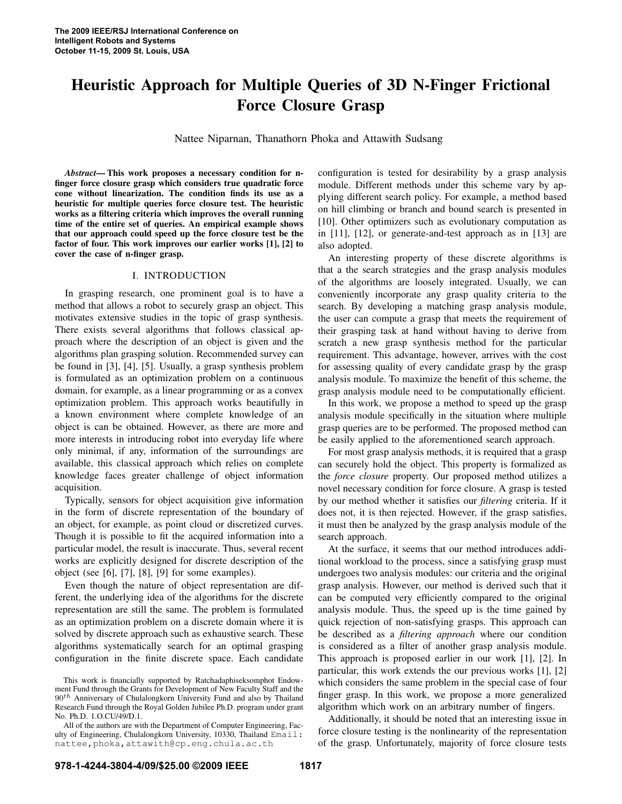# Heuristic Approach for Multiple Queries of 3D N-Finger Frictional Force Closure Grasp

Nattee Niparnan, Thanathorn Phoka and Attawith Sudsang

*Abstract*— This work proposes a necessary condition for nfinger force closure grasp which considers true quadratic force cone without linearization. The condition finds its use as a heuristic for multiple queries force closure test. The heuristic works as a filtering criteria which improves the overall running time of the entire set of queries. An empirical example shows that our approach could speed up the force closure test be the factor of four. This work improves our earlier works [1], [2] to cover the case of n-finger grasp.

### I. INTRODUCTION

In grasping research, one prominent goal is to have a method that allows a robot to securely grasp an object. This motivates extensive studies in the topic of grasp synthesis. There exists several algorithms that follows classical approach where the description of an object is given and the algorithms plan grasping solution. Recommended survey can be found in [3], [4], [5]. Usually, a grasp synthesis problem is formulated as an optimization problem on a continuous domain, for example, as a linear programming or as a convex optimization problem. This approach works beautifully in a known environment where complete knowledge of an object is can be obtained. However, as there are more and more interests in introducing robot into everyday life where only minimal, if any, information of the surroundings are available, this classical approach which relies on complete knowledge faces greater challenge of object information acquisition.

Typically, sensors for object acquisition give information in the form of discrete representation of the boundary of an object, for example, as point cloud or discretized curves. Though it is possible to fit the acquired information into a particular model, the result is inaccurate. Thus, several recent works are explicitly designed for discrete description of the object (see  $[6]$ ,  $[7]$ ,  $[8]$ ,  $[9]$  for some examples).

Even though the nature of object representation are different, the underlying idea of the algorithms for the discrete representation are still the same. The problem is formulated as an optimization problem on a discrete domain where it is solved by discrete approach such as exhaustive search. These algorithms systematically search for an optimal grasping configuration in the finite discrete space. Each candidate configuration is tested for desirability by a grasp analysis module. Different methods under this scheme vary by applying different search policy. For example, a method based on hill climbing or branch and bound search is presented in [10]. Other optimizers such as evolutionary computation as in [11], [12], or generate-and-test approach as in [13] are also adopted.

An interesting property of these discrete algorithms is that a the search strategies and the grasp analysis modules of the algorithms are loosely integrated. Usually, we can conveniently incorporate any grasp quality criteria to the search. By developing a matching grasp analysis module, the user can compute a grasp that meets the requirement of their grasping task at hand without having to derive from scratch a new grasp synthesis method for the particular requirement. This advantage, however, arrives with the cost for assessing quality of every candidate grasp by the grasp analysis module. To maximize the benefit of this scheme, the grasp analysis module need to be computationally efficient.

In this work, we propose a method to speed up the grasp analysis module specifically in the situation where multiple grasp queries are to be performed. The proposed method can be easily applied to the aforementioned search approach.

For most grasp analysis methods, it is required that a grasp can securely hold the object. This property is formalized as the *force closure* property. Our proposed method utilizes a novel necessary condition for force closure. A grasp is tested by our method whether it satisfies our *filtering* criteria. If it does not, it is then rejected. However, if the grasp satisfies, it must then be analyzed by the grasp analysis module of the search approach.

At the surface, it seems that our method introduces additional workload to the process, since a satisfying grasp must undergoes two analysis modules: our criteria and the original grasp analysis. However, our method is derived such that it can be computed very efficiently compared to the original analysis module. Thus, the speed up is the time gained by quick rejection of non-satisfying grasps. This approach can be described as a *filtering approach* where our condition is considered as a filter of another grasp analysis module. This approach is proposed earlier in our work [1], [2]. In particular, this work extends the our previous works [1], [2] which considers the same problem in the special case of four finger grasp. In this work, we propose a more generalized algorithm which work on an arbitrary number of fingers.

Additionally, it should be noted that an interesting issue in force closure testing is the nonlinearity of the representation of the grasp. Unfortunately, majority of force closure tests

This work is financially supported by Ratchadaphiseksomphot Endowment Fund through the Grants for Development of New Faculty Staff and the  $90<sup>th</sup>$  Anniversary of Chulalongkorn University Fund and also by Thailand Research Fund through the Royal Golden Jubilee Ph.D. program under grant No. Ph.D. 1.O.CU/49/D.1.

All of the authors are with the Department of Computer Engineering, Faculty of Engineering, Chulalongkorn University, 10330, Thailand Email: nattee,phoka,attawith@cp.eng.chula.ac.th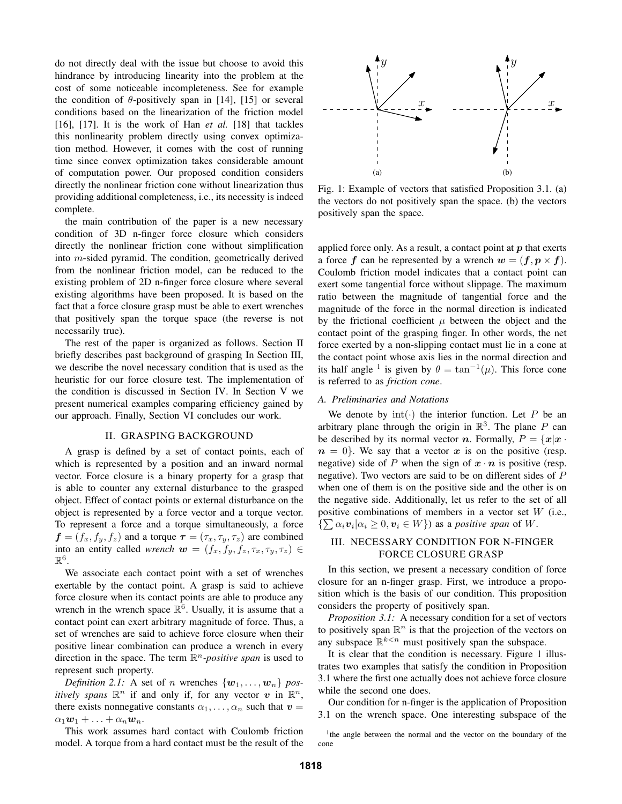do not directly deal with the issue but choose to avoid this hindrance by introducing linearity into the problem at the cost of some noticeable incompleteness. See for example the condition of  $\theta$ -positively span in [14], [15] or several conditions based on the linearization of the friction model [16], [17]. It is the work of Han *et al.* [18] that tackles this nonlinearity problem directly using convex optimization method. However, it comes with the cost of running time since convex optimization takes considerable amount of computation power. Our proposed condition considers directly the nonlinear friction cone without linearization thus providing additional completeness, i.e., its necessity is indeed complete.

the main contribution of the paper is a new necessary condition of 3D n-finger force closure which considers directly the nonlinear friction cone without simplification into m-sided pyramid. The condition, geometrically derived from the nonlinear friction model, can be reduced to the existing problem of 2D n-finger force closure where several existing algorithms have been proposed. It is based on the fact that a force closure grasp must be able to exert wrenches that positively span the torque space (the reverse is not necessarily true).

The rest of the paper is organized as follows. Section II briefly describes past background of grasping In Section III, we describe the novel necessary condition that is used as the heuristic for our force closure test. The implementation of the condition is discussed in Section IV. In Section V we present numerical examples comparing efficiency gained by our approach. Finally, Section VI concludes our work.

## II. GRASPING BACKGROUND

A grasp is defined by a set of contact points, each of which is represented by a position and an inward normal vector. Force closure is a binary property for a grasp that is able to counter any external disturbance to the grasped object. Effect of contact points or external disturbance on the object is represented by a force vector and a torque vector. To represent a force and a torque simultaneously, a force  $f = (f_x, f_y, f_z)$  and a torque  $\tau = (\tau_x, \tau_y, \tau_z)$  are combined into an entity called *wrench*  $\mathbf{w} = (f_x, f_y, f_z, \tau_x, \tau_y, \tau_z) \in$  $\mathbb{R}^6$ .

We associate each contact point with a set of wrenches exertable by the contact point. A grasp is said to achieve force closure when its contact points are able to produce any wrench in the wrench space  $\mathbb{R}^6$ . Usually, it is assume that a contact point can exert arbitrary magnitude of force. Thus, a set of wrenches are said to achieve force closure when their positive linear combination can produce a wrench in every direction in the space. The term  $\mathbb{R}^n$ -positive span is used to represent such property.

*Definition 2.1:* A set of *n* wrenches  $\{w_1, \ldots, w_n\}$  *positively spans*  $\mathbb{R}^n$  if and only if, for any vector v in  $\mathbb{R}^n$ , there exists nonnegative constants  $\alpha_1, \ldots, \alpha_n$  such that  $v =$  $\alpha_1 \mathbf{w}_1 + \ldots + \alpha_n \mathbf{w}_n$ .

This work assumes hard contact with Coulomb friction model. A torque from a hard contact must be the result of the



Fig. 1: Example of vectors that satisfied Proposition 3.1. (a) the vectors do not positively span the space. (b) the vectors positively span the space.

applied force only. As a result, a contact point at  $p$  that exerts a force f can be represented by a wrench  $w = (f, p \times f)$ . Coulomb friction model indicates that a contact point can exert some tangential force without slippage. The maximum ratio between the magnitude of tangential force and the magnitude of the force in the normal direction is indicated by the frictional coefficient  $\mu$  between the object and the contact point of the grasping finger. In other words, the net force exerted by a non-slipping contact must lie in a cone at the contact point whose axis lies in the normal direction and its half angle <sup>1</sup> is given by  $\theta = \tan^{-1}(\mu)$ . This force cone is referred to as *friction cone*.

## *A. Preliminaries and Notations*

We denote by  $int(\cdot)$  the interior function. Let P be an arbitrary plane through the origin in  $\mathbb{R}^3$ . The plane P can be described by its normal vector *n*. Formally,  $P = \{x | x$ .  $n = 0$ . We say that a vector x is on the positive (resp. negative) side of P when the sign of  $x \cdot n$  is positive (resp. negative). Two vectors are said to be on different sides of P when one of them is on the positive side and the other is on the negative side. Additionally, let us refer to the set of all positive combinations of members in a vector set W (i.e.,  $\{\sum \alpha_i \mathbf{v}_i | \alpha_i \geq 0, \mathbf{v}_i \in W\}$  as a *positive span* of W.

## III. NECESSARY CONDITION FOR N-FINGER FORCE CLOSURE GRASP

In this section, we present a necessary condition of force closure for an n-finger grasp. First, we introduce a proposition which is the basis of our condition. This proposition considers the property of positively span.

*Proposition 3.1:* A necessary condition for a set of vectors to positively span  $\mathbb{R}^n$  is that the projection of the vectors on any subspace  $\mathbb{R}^{k \le n}$  must positively span the subspace.

It is clear that the condition is necessary. Figure 1 illustrates two examples that satisfy the condition in Proposition 3.1 where the first one actually does not achieve force closure while the second one does.

Our condition for n-finger is the application of Proposition 3.1 on the wrench space. One interesting subspace of the

<sup>&</sup>lt;sup>1</sup>the angle between the normal and the vector on the boundary of the cone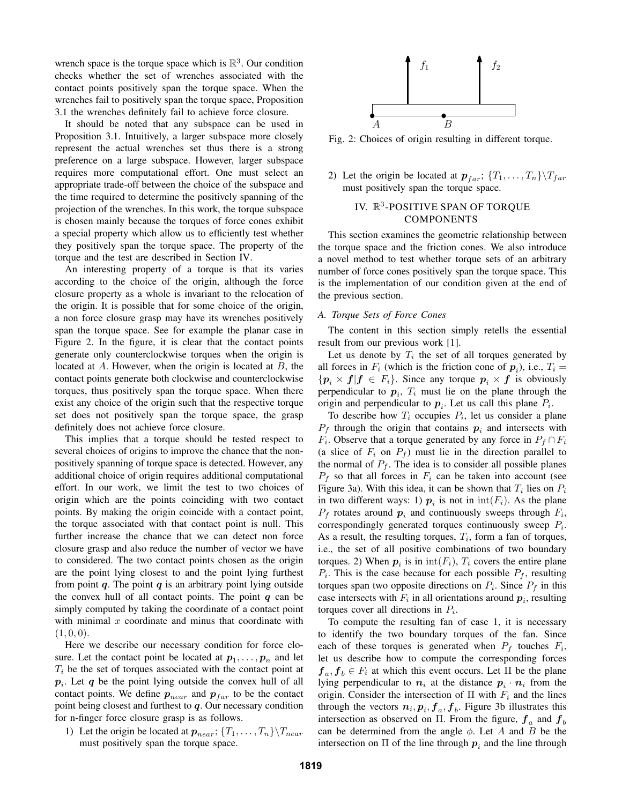wrench space is the torque space which is  $\mathbb{R}^3$ . Our condition checks whether the set of wrenches associated with the contact points positively span the torque space. When the wrenches fail to positively span the torque space, Proposition 3.1 the wrenches definitely fail to achieve force closure.

It should be noted that any subspace can be used in Proposition 3.1. Intuitively, a larger subspace more closely represent the actual wrenches set thus there is a strong preference on a large subspace. However, larger subspace requires more computational effort. One must select an appropriate trade-off between the choice of the subspace and the time required to determine the positively spanning of the projection of the wrenches. In this work, the torque subspace is chosen mainly because the torques of force cones exhibit a special property which allow us to efficiently test whether they positively span the torque space. The property of the torque and the test are described in Section IV.

An interesting property of a torque is that its varies according to the choice of the origin, although the force closure property as a whole is invariant to the relocation of the origin. It is possible that for some choice of the origin, a non force closure grasp may have its wrenches positively span the torque space. See for example the planar case in Figure 2. In the figure, it is clear that the contact points generate only counterclockwise torques when the origin is located at A. However, when the origin is located at B, the contact points generate both clockwise and counterclockwise torques, thus positively span the torque space. When there exist any choice of the origin such that the respective torque set does not positively span the torque space, the grasp definitely does not achieve force closure.

This implies that a torque should be tested respect to several choices of origins to improve the chance that the nonpositively spanning of torque space is detected. However, any additional choice of origin requires additional computational effort. In our work, we limit the test to two choices of origin which are the points coinciding with two contact points. By making the origin coincide with a contact point, the torque associated with that contact point is null. This further increase the chance that we can detect non force closure grasp and also reduce the number of vector we have to considered. The two contact points chosen as the origin are the point lying closest to and the point lying furthest from point  $q$ . The point  $q$  is an arbitrary point lying outside the convex hull of all contact points. The point  $q$  can be simply computed by taking the coordinate of a contact point with minimal  $x$  coordinate and minus that coordinate with  $(1, 0, 0).$ 

Here we describe our necessary condition for force closure. Let the contact point be located at  $p_1, \ldots, p_n$  and let  $T_i$  be the set of torques associated with the contact point at  $p_i$ . Let q be the point lying outside the convex hull of all contact points. We define  $p_{near}$  and  $p_{far}$  to be the contact point being closest and furthest to  $q$ . Our necessary condition for n-finger force closure grasp is as follows.

1) Let the origin be located at  $p_{near}$ ;  $\{T_1, \ldots, T_n\} \backslash T_{near}$ must positively span the torque space.



Fig. 2: Choices of origin resulting in different torque.

2) Let the origin be located at  $p_{far}$ ;  $\{T_1, \ldots, T_n\} \backslash T_{far}$ must positively span the torque space.

## IV. R<sup>3</sup>-POSITIVE SPAN OF TORQUE COMPONENTS

This section examines the geometric relationship between the torque space and the friction cones. We also introduce a novel method to test whether torque sets of an arbitrary number of force cones positively span the torque space. This is the implementation of our condition given at the end of the previous section.

## *A. Torque Sets of Force Cones*

The content in this section simply retells the essential result from our previous work [1].

Let us denote by  $T_i$  the set of all torques generated by all forces in  $F_i$  (which is the friction cone of  $p_i$ ), i.e.,  $T_i =$  ${\{p_i \times f | f \in F_i\}}$ . Since any torque  $p_i \times f$  is obviously perpendicular to  $p_i$ ,  $T_i$  must lie on the plane through the origin and perpendicular to  $p_i$ . Let us call this plane  $P_i$ .

To describe how  $T_i$  occupies  $P_i$ , let us consider a plane  $P_f$  through the origin that contains  $p_i$  and intersects with  $F_i$ . Observe that a torque generated by any force in  $P_f \cap F_i$ (a slice of  $F_i$  on  $P_f$ ) must lie in the direction parallel to the normal of  $P_f$ . The idea is to consider all possible planes  $P_f$  so that all forces in  $F_i$  can be taken into account (see Figure 3a). With this idea, it can be shown that  $T_i$  lies on  $P_i$ in two different ways: 1)  $p_i$  is not in  $\text{int}(F_i)$ . As the plane  $P_f$  rotates around  $p_i$  and continuously sweeps through  $F_i$ , correspondingly generated torques continuously sweep  $P_i$ . As a result, the resulting torques,  $T_i$ , form a fan of torques, i.e., the set of all positive combinations of two boundary torques. 2) When  $p_i$  is in  $int(F_i)$ ,  $T_i$  covers the entire plane  $P_i$ . This is the case because for each possible  $P_f$ , resulting torques span two opposite directions on  $P_i$ . Since  $P_f$  in this case intersects with  $F_i$  in all orientations around  $p_i$ , resulting torques cover all directions in  $P_i$ .

To compute the resulting fan of case 1, it is necessary to identify the two boundary torques of the fan. Since each of these torques is generated when  $P_f$  touches  $F_i$ , let us describe how to compute the corresponding forces  $f_a, f_b \in F_i$  at which this event occurs. Let  $\Pi$  be the plane lying perpendicular to  $n_i$  at the distance  $p_i \cdot n_i$  from the origin. Consider the intersection of  $\Pi$  with  $F_i$  and the lines through the vectors  $n_i, p_i, f_a, f_b$ . Figure 3b illustrates this intersection as observed on  $\Pi$ . From the figure,  $\boldsymbol{f}_a$  and  $\boldsymbol{f}_b$ can be determined from the angle  $\phi$ . Let A and B be the intersection on  $\Pi$  of the line through  $p_i$  and the line through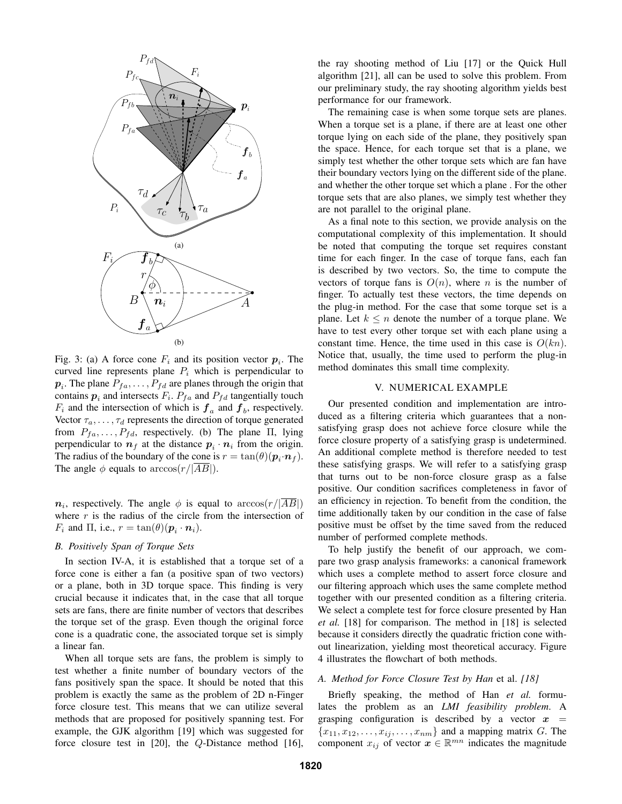

Fig. 3: (a) A force cone  $F_i$  and its position vector  $p_i$ . The curved line represents plane  $P_i$  which is perpendicular to  $p_i$ . The plane  $P_{fa}, \ldots, P_{fd}$  are planes through the origin that contains  $p_i$  and intersects  $F_i$ .  $P_{fa}$  and  $P_{fd}$  tangentially touch  $F_i$  and the intersection of which is  $f_a$  and  $f_b$ , respectively. Vector  $\tau_a, \ldots, \tau_d$  represents the direction of torque generated from  $P_{fa}, \ldots, P_{fd}$ , respectively. (b) The plane  $\Pi$ , lying perpendicular to  $n_f$  at the distance  $p_i \cdot n_i$  from the origin. The radius of the boundary of the cone is  $r = \tan(\theta)(p_i \cdot n_f)$ . The angle  $\phi$  equals to  $arccos(r/|AB|)$ .

 $n_i$ , respectively. The angle  $\phi$  is equal to  $arccos(r/|\overline{AB}|)$ where  $r$  is the radius of the circle from the intersection of  $F_i$  and  $\Pi$ , i.e.,  $r = \tan(\theta)(\mathbf{p}_i \cdot \mathbf{n}_i)$ .

## *B. Positively Span of Torque Sets*

In section IV-A, it is established that a torque set of a force cone is either a fan (a positive span of two vectors) or a plane, both in 3D torque space. This finding is very crucial because it indicates that, in the case that all torque sets are fans, there are finite number of vectors that describes the torque set of the grasp. Even though the original force cone is a quadratic cone, the associated torque set is simply a linear fan.

When all torque sets are fans, the problem is simply to test whether a finite number of boundary vectors of the fans positively span the space. It should be noted that this problem is exactly the same as the problem of 2D n-Finger force closure test. This means that we can utilize several methods that are proposed for positively spanning test. For example, the GJK algorithm [19] which was suggested for force closure test in [20], the Q-Distance method [16],

the ray shooting method of Liu [17] or the Quick Hull algorithm [21], all can be used to solve this problem. From our preliminary study, the ray shooting algorithm yields best performance for our framework.

The remaining case is when some torque sets are planes. When a torque set is a plane, if there are at least one other torque lying on each side of the plane, they positively span the space. Hence, for each torque set that is a plane, we simply test whether the other torque sets which are fan have their boundary vectors lying on the different side of the plane. and whether the other torque set which a plane . For the other torque sets that are also planes, we simply test whether they are not parallel to the original plane.

As a final note to this section, we provide analysis on the computational complexity of this implementation. It should be noted that computing the torque set requires constant time for each finger. In the case of torque fans, each fan is described by two vectors. So, the time to compute the vectors of torque fans is  $O(n)$ , where n is the number of finger. To actually test these vectors, the time depends on the plug-in method. For the case that some torque set is a plane. Let  $k \leq n$  denote the number of a torque plane. We have to test every other torque set with each plane using a constant time. Hence, the time used in this case is  $O(kn)$ . Notice that, usually, the time used to perform the plug-in method dominates this small time complexity.

#### V. NUMERICAL EXAMPLE

Our presented condition and implementation are introduced as a filtering criteria which guarantees that a nonsatisfying grasp does not achieve force closure while the force closure property of a satisfying grasp is undetermined. An additional complete method is therefore needed to test these satisfying grasps. We will refer to a satisfying grasp that turns out to be non-force closure grasp as a false positive. Our condition sacrifices completeness in favor of an efficiency in rejection. To benefit from the condition, the time additionally taken by our condition in the case of false positive must be offset by the time saved from the reduced number of performed complete methods.

To help justify the benefit of our approach, we compare two grasp analysis frameworks: a canonical framework which uses a complete method to assert force closure and our filtering approach which uses the same complete method together with our presented condition as a filtering criteria. We select a complete test for force closure presented by Han *et al.* [18] for comparison. The method in [18] is selected because it considers directly the quadratic friction cone without linearization, yielding most theoretical accuracy. Figure 4 illustrates the flowchart of both methods.

## *A. Method for Force Closure Test by Han* et al. *[18]*

Briefly speaking, the method of Han *et al.* formulates the problem as an *LMI feasibility problem*. A grasping configuration is described by a vector  $x =$  ${x_{11}, x_{12}, \ldots, x_{ij}, \ldots, x_{nm}}$  and a mapping matrix G. The component  $x_{ij}$  of vector  $x \in \mathbb{R}^{mn}$  indicates the magnitude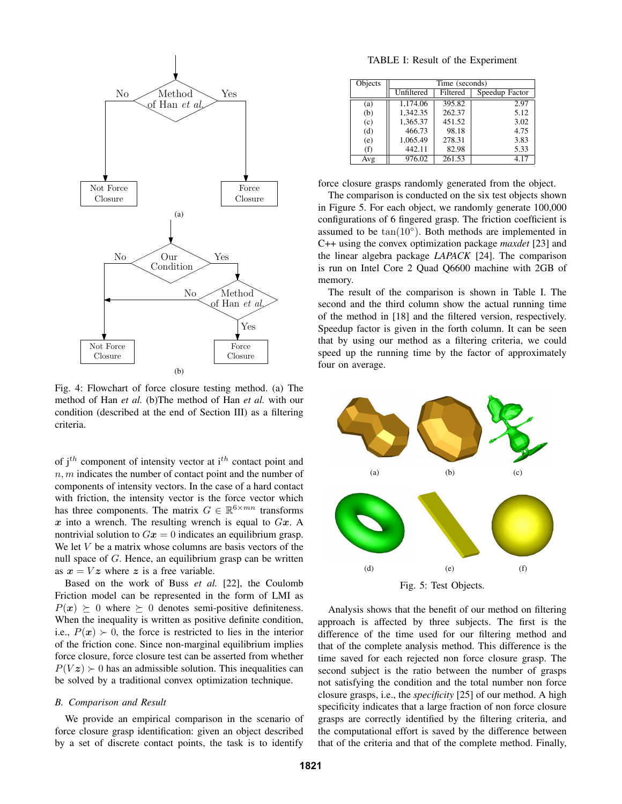

Fig. 4: Flowchart of force closure testing method. (a) The method of Han *et al.* (b)The method of Han *et al.* with our condition (described at the end of Section III) as a filtering criteria.

of  $i^{th}$  component of intensity vector at  $i^{th}$  contact point and  $n, m$  indicates the number of contact point and the number of components of intensity vectors. In the case of a hard contact with friction, the intensity vector is the force vector which has three components. The matrix  $G \in \mathbb{R}^{6 \times mn}$  transforms  $x$  into a wrench. The resulting wrench is equal to  $Gx$ . A nontrivial solution to  $Gx = 0$  indicates an equilibrium grasp. We let  $V$  be a matrix whose columns are basis vectors of the null space of  $G$ . Hence, an equilibrium grasp can be written as  $x = Vz$  where z is a free variable.

Based on the work of Buss *et al.* [22], the Coulomb Friction model can be represented in the form of LMI as  $P(x) \geq 0$  where  $\succeq 0$  denotes semi-positive definiteness. When the inequality is written as positive definite condition, i.e.,  $P(x) > 0$ , the force is restricted to lies in the interior of the friction cone. Since non-marginal equilibrium implies force closure, force closure test can be asserted from whether  $P(Vz) > 0$  has an admissible solution. This inequalities can be solved by a traditional convex optimization technique.

## *B. Comparison and Result*

We provide an empirical comparison in the scenario of force closure grasp identification: given an object described by a set of discrete contact points, the task is to identify

TABLE I: Result of the Experiment

| Objects | Time (seconds) |          |                |
|---------|----------------|----------|----------------|
|         | Unfiltered     | Filtered | Speedup Factor |
| (a)     | 1.174.06       | 395.82   | 2.97           |
| (b)     | 1.342.35       | 262.37   | 5.12           |
| (c)     | 1,365.37       | 451.52   | 3.02           |
| (d)     | 466.73         | 98.18    | 4.75           |
| (e)     | 1.065.49       | 278.31   | 3.83           |
| (f)     | 442.11         | 82.98    | 5.33           |
| Avg     | 976.02         | 261.53   | 4.17           |

force closure grasps randomly generated from the object.

The comparison is conducted on the six test objects shown in Figure 5. For each object, we randomly generate 100,000 configurations of 6 fingered grasp. The friction coefficient is assumed to be  $tan(10°)$ . Both methods are implemented in C++ using the convex optimization package *maxdet* [23] and the linear algebra package *LAPACK* [24]. The comparison is run on Intel Core 2 Quad Q6600 machine with 2GB of memory.

The result of the comparison is shown in Table I. The second and the third column show the actual running time of the method in [18] and the filtered version, respectively. Speedup factor is given in the forth column. It can be seen that by using our method as a filtering criteria, we could speed up the running time by the factor of approximately four on average.



Analysis shows that the benefit of our method on filtering approach is affected by three subjects. The first is the difference of the time used for our filtering method and that of the complete analysis method. This difference is the time saved for each rejected non force closure grasp. The second subject is the ratio between the number of grasps not satisfying the condition and the total number non force closure grasps, i.e., the *specificity* [25] of our method. A high specificity indicates that a large fraction of non force closure grasps are correctly identified by the filtering criteria, and the computational effort is saved by the difference between that of the criteria and that of the complete method. Finally,